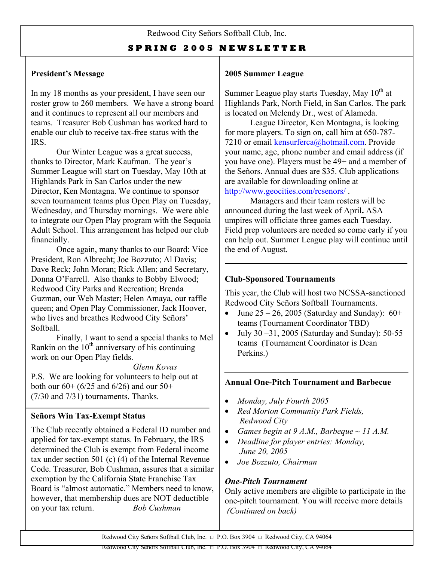#### **S P R I N G 2 0 0 5 N E W S L E T T E R**

#### **President's Message**

In my 18 months as your president, I have seen our roster grow to 260 members. We have a strong board and it continues to represent all our members and teams. Treasurer Bob Cushman has worked hard to enable our club to receive tax-free status with the IRS.

Our Winter League was a great success, thanks to Director, Mark Kaufman. The year's Summer League will start on Tuesday, May 10th at Highlands Park in San Carlos under the new Director, Ken Montagna. We continue to spons or seven tournament teams plus Open Play on Tue sday, Wednesday, and Thursday mornings. We were able to integrate our Open Play program with the Sequoia Adult School. This arrangement has helped our club financially.

Once again, many thanks to our Board: Vice President, Ron Albrecht; Joe Bozzuto; Al Davis; Dave Reck; John Moran; Rick Allen; and Secretary, Donna O'Farrell. Also thanks to Bobby Elwood; Redwood City Parks and Recreation; Brenda Guzman, our Web Master; Helen Amaya, our raffle queen; and Open Play Commissioner, Jack Hoover, who lives and breathes Redwood City Señors' Softball.

Finally, I want to send a special thanks to Mel Rankin on the  $10<sup>th</sup>$  anniversary of his continuing work on our Open Play fields.

 *Glenn Kovas* P.S. We are looking for volunteers to help out at both our  $60 + (6/25)$  and  $6/26$  and our  $50+$ (7/30 and 7/31) tournaments. Thanks.

#### **Señors Win Tax-Exempt Status**

The Club recently obtained a Federal ID number and applied for tax-exempt status. In February, the IRS determined the Club is exempt from Federal income tax under section 501 (c) (4) of the Internal Revenue Code. Treasurer, Bob Cushman, assures that a similar exemption by the California State Franchise Tax Board is "almost automatic." Members need to know, however, that membership dues are NOT deductible on your tax return. *Bob Cushman* 

#### **2005 Summer League**

Summer League play starts Tuesday, May  $10^{th}$  at Highlands Park, North Field, in San Carlos. The park is located on Melendy Dr., west of Alameda.

League Director, Ken Montagna, is looking for more players. To sign on, call him at 650-787- 7210 or email [kensurferca@hotmail.com](mailto:kensurferca@hotmail.com). Provide your name, age, phone number and email address (if you have one). Players must be 49+ and a member of the Señors. Annual dues are \$35. Club applications are available for downloading online at <http://www.geocities.com/rcsenors/>.

Managers and their team rosters will be announced during the last week of April**.** ASA umpires will officiate three games each Tuesday. Field prep volunteers are needed so come early if you can help out. Summer League play will continue until the end of August.

#### **Club-Sponsored Tournaments**

This year, the Club will host two NCSSA-sanctioned Redwood City Señors Softball Tournaments.

- June  $25 26$ , 2005 (Saturday and Sunday):  $60+$ teams (Tournament Coordinator TBD)
- July 30 $-31$ , 2005 (Saturday and Sunday): 50-55 teams (Tournament Coordinator is Dean Perkins.)

#### **Annual One-Pitch Tournament and Barbecue**

- *Monday, July Fourth 2005*
- *Red Morton Community Park Fields, Redwood City*
- *Games begin at 9 A.M., Barbeque ~ 11 A.M.*
- *Deadline for player entries: Monday, June 20, 2005*
- *Joe Bozzuto, Chairman*

#### *One-Pitch Tournament*

Only active members are eligible to participate in the one-pitch tournament. You will receive more details *(Continued on back)*